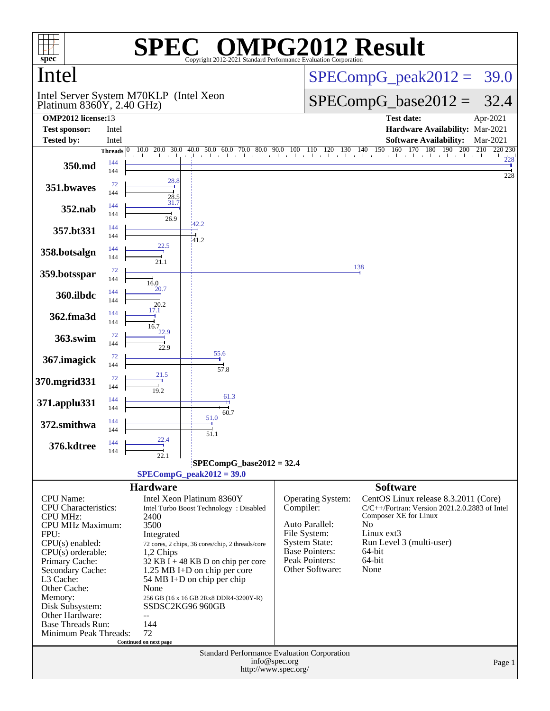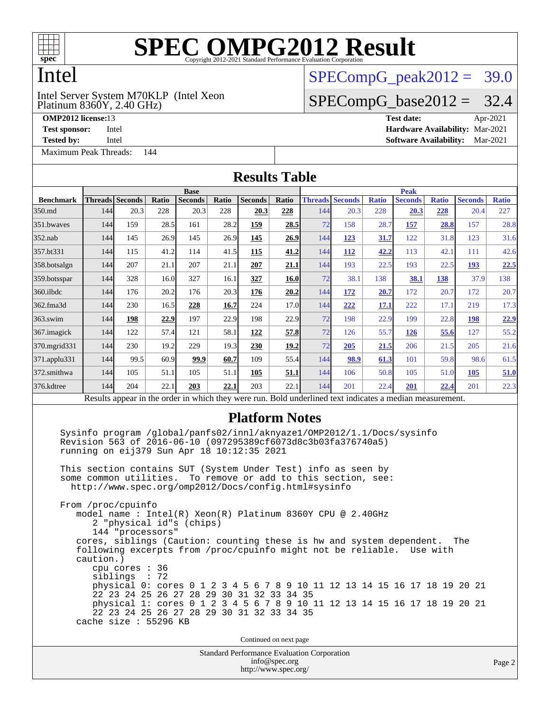

# Intel

Platinum 8360Y, 2.40 GHz) Intel Server System M70KLP (Intel Xeon

**[Tested by:](http://www.spec.org/auto/omp2012/Docs/result-fields.html#Testedby)** Intel **[Software Availability:](http://www.spec.org/auto/omp2012/Docs/result-fields.html#SoftwareAvailability)** Mar-2021

[Maximum Peak Threads:](http://www.spec.org/auto/omp2012/Docs/result-fields.html#MaximumPeakThreads) 144

 $SPECompG<sub>peak2012</sub> = 39.0$ 

#### $SPECompG_base2012 = 32.4$  $SPECompG_base2012 = 32.4$

**[OMP2012 license:](http://www.spec.org/auto/omp2012/Docs/result-fields.html#OMP2012license)**13 **[Test date:](http://www.spec.org/auto/omp2012/Docs/result-fields.html#Testdate)** Apr-2021 **[Test sponsor:](http://www.spec.org/auto/omp2012/Docs/result-fields.html#Testsponsor)** Intel **[Hardware Availability:](http://www.spec.org/auto/omp2012/Docs/result-fields.html#HardwareAvailability)** Mar-2021

Standard Performance Evaluation Corporation **[Results Table](http://www.spec.org/auto/omp2012/Docs/result-fields.html#ResultsTable) [Benchmark](http://www.spec.org/auto/omp2012/Docs/result-fields.html#Benchmark) [Threads](http://www.spec.org/auto/omp2012/Docs/result-fields.html#Threads) [Seconds](http://www.spec.org/auto/omp2012/Docs/result-fields.html#Seconds) [Ratio](http://www.spec.org/auto/omp2012/Docs/result-fields.html#Ratio) [Seconds](http://www.spec.org/auto/omp2012/Docs/result-fields.html#Seconds) [Ratio](http://www.spec.org/auto/omp2012/Docs/result-fields.html#Ratio) [Seconds](http://www.spec.org/auto/omp2012/Docs/result-fields.html#Seconds) [Ratio](http://www.spec.org/auto/omp2012/Docs/result-fields.html#Ratio) Base [Threads](http://www.spec.org/auto/omp2012/Docs/result-fields.html#Threads) [Seconds](http://www.spec.org/auto/omp2012/Docs/result-fields.html#Seconds) [Ratio](http://www.spec.org/auto/omp2012/Docs/result-fields.html#Ratio) [Seconds](http://www.spec.org/auto/omp2012/Docs/result-fields.html#Seconds) [Ratio](http://www.spec.org/auto/omp2012/Docs/result-fields.html#Ratio) [Seconds](http://www.spec.org/auto/omp2012/Docs/result-fields.html#Seconds) [Ratio](http://www.spec.org/auto/omp2012/Docs/result-fields.html#Ratio) Peak** [350.md](http://www.spec.org/auto/omp2012/Docs/350.md.html) 144 20.3 228 20.3 228 **[20.3](http://www.spec.org/auto/omp2012/Docs/result-fields.html#Median) [228](http://www.spec.org/auto/omp2012/Docs/result-fields.html#Median)** 144 20.3 228 **[20.3](http://www.spec.org/auto/omp2012/Docs/result-fields.html#Median) [228](http://www.spec.org/auto/omp2012/Docs/result-fields.html#Median)** 20.4 227 [351.bwaves](http://www.spec.org/auto/omp2012/Docs/351.bwaves.html) 144 159 28.5 161 28.2 **[159](http://www.spec.org/auto/omp2012/Docs/result-fields.html#Median) [28.5](http://www.spec.org/auto/omp2012/Docs/result-fields.html#Median)** 72 158 28.7 **[157](http://www.spec.org/auto/omp2012/Docs/result-fields.html#Median) [28.8](http://www.spec.org/auto/omp2012/Docs/result-fields.html#Median)** 157 28.8 [352.nab](http://www.spec.org/auto/omp2012/Docs/352.nab.html) 144 145 26.9 145 26.9 **[145](http://www.spec.org/auto/omp2012/Docs/result-fields.html#Median) [26.9](http://www.spec.org/auto/omp2012/Docs/result-fields.html#Median)** 144 **[123](http://www.spec.org/auto/omp2012/Docs/result-fields.html#Median) [31.7](http://www.spec.org/auto/omp2012/Docs/result-fields.html#Median)** 122 31.8 123 31.6 [357.bt331](http://www.spec.org/auto/omp2012/Docs/357.bt331.html) 144 115 41.2 114 41.5 **[115](http://www.spec.org/auto/omp2012/Docs/result-fields.html#Median) [41.2](http://www.spec.org/auto/omp2012/Docs/result-fields.html#Median)** 144 **[112](http://www.spec.org/auto/omp2012/Docs/result-fields.html#Median) [42.2](http://www.spec.org/auto/omp2012/Docs/result-fields.html#Median)** 113 42.1 111 42.6 [358.botsalgn](http://www.spec.org/auto/omp2012/Docs/358.botsalgn.html) 144 207 21.1 207 21.1 **[207](http://www.spec.org/auto/omp2012/Docs/result-fields.html#Median) [21.1](http://www.spec.org/auto/omp2012/Docs/result-fields.html#Median)** 144 193 22.5 193 22.5 **[193](http://www.spec.org/auto/omp2012/Docs/result-fields.html#Median) [22.5](http://www.spec.org/auto/omp2012/Docs/result-fields.html#Median)** [359.botsspar](http://www.spec.org/auto/omp2012/Docs/359.botsspar.html) 144 328 16.0 327 16.1 **[327](http://www.spec.org/auto/omp2012/Docs/result-fields.html#Median) [16.0](http://www.spec.org/auto/omp2012/Docs/result-fields.html#Median)** 72 38.1 138 **[38.1](http://www.spec.org/auto/omp2012/Docs/result-fields.html#Median) [138](http://www.spec.org/auto/omp2012/Docs/result-fields.html#Median)** 37.9 138 [360.ilbdc](http://www.spec.org/auto/omp2012/Docs/360.ilbdc.html) 144 176 20.2 176 20.3 **[176](http://www.spec.org/auto/omp2012/Docs/result-fields.html#Median) [20.2](http://www.spec.org/auto/omp2012/Docs/result-fields.html#Median)** 144 **[172](http://www.spec.org/auto/omp2012/Docs/result-fields.html#Median) [20.7](http://www.spec.org/auto/omp2012/Docs/result-fields.html#Median)** 172 20.7 172 20.7 [362.fma3d](http://www.spec.org/auto/omp2012/Docs/362.fma3d.html) 144 230 16.5 **[228](http://www.spec.org/auto/omp2012/Docs/result-fields.html#Median) [16.7](http://www.spec.org/auto/omp2012/Docs/result-fields.html#Median)** 224 17.0 144 **[222](http://www.spec.org/auto/omp2012/Docs/result-fields.html#Median) [17.1](http://www.spec.org/auto/omp2012/Docs/result-fields.html#Median)** 222 17.1 219 17.3 [363.swim](http://www.spec.org/auto/omp2012/Docs/363.swim.html) 144 **[198](http://www.spec.org/auto/omp2012/Docs/result-fields.html#Median) [22.9](http://www.spec.org/auto/omp2012/Docs/result-fields.html#Median)** 197 22.9 198 22.9 72 198 22.9 199 22.8 **[198](http://www.spec.org/auto/omp2012/Docs/result-fields.html#Median) [22.9](http://www.spec.org/auto/omp2012/Docs/result-fields.html#Median)** [367.imagick](http://www.spec.org/auto/omp2012/Docs/367.imagick.html) 144 122 57.4 121 58.1 **[122](http://www.spec.org/auto/omp2012/Docs/result-fields.html#Median) [57.8](http://www.spec.org/auto/omp2012/Docs/result-fields.html#Median)** 72 126 55.7 **[126](http://www.spec.org/auto/omp2012/Docs/result-fields.html#Median) [55.6](http://www.spec.org/auto/omp2012/Docs/result-fields.html#Median)** 127 55.2 [370.mgrid331](http://www.spec.org/auto/omp2012/Docs/370.mgrid331.html) 144 230 19.2 229 19.3 **[230](http://www.spec.org/auto/omp2012/Docs/result-fields.html#Median) [19.2](http://www.spec.org/auto/omp2012/Docs/result-fields.html#Median)** 72 **[205](http://www.spec.org/auto/omp2012/Docs/result-fields.html#Median) [21.5](http://www.spec.org/auto/omp2012/Docs/result-fields.html#Median)** 206 21.5 205 21.6 [371.applu331](http://www.spec.org/auto/omp2012/Docs/371.applu331.html) 144 99.5 60.9 **[99.9](http://www.spec.org/auto/omp2012/Docs/result-fields.html#Median) [60.7](http://www.spec.org/auto/omp2012/Docs/result-fields.html#Median)** 109 55.4 144 **[98.9](http://www.spec.org/auto/omp2012/Docs/result-fields.html#Median) [61.3](http://www.spec.org/auto/omp2012/Docs/result-fields.html#Median)** 101 59.8 98.6 61.5 [372.smithwa](http://www.spec.org/auto/omp2012/Docs/372.smithwa.html) 144 105 51.1 105 51.1 **[105](http://www.spec.org/auto/omp2012/Docs/result-fields.html#Median) [51.1](http://www.spec.org/auto/omp2012/Docs/result-fields.html#Median)** 144 106 50.8 105 51.0 **[105](http://www.spec.org/auto/omp2012/Docs/result-fields.html#Median) [51.0](http://www.spec.org/auto/omp2012/Docs/result-fields.html#Median)** [376.kdtree](http://www.spec.org/auto/omp2012/Docs/376.kdtree.html) 144 204 22.1 **[203](http://www.spec.org/auto/omp2012/Docs/result-fields.html#Median) [22.1](http://www.spec.org/auto/omp2012/Docs/result-fields.html#Median)** 203 22.1 144 201 22.4 **[201](http://www.spec.org/auto/omp2012/Docs/result-fields.html#Median) [22.4](http://www.spec.org/auto/omp2012/Docs/result-fields.html#Median)** 201 22.3 Results appear in the [order in which they were run.](http://www.spec.org/auto/omp2012/Docs/result-fields.html#RunOrder) Bold underlined text [indicates a median measurement.](http://www.spec.org/auto/omp2012/Docs/result-fields.html#Median) **[Platform Notes](http://www.spec.org/auto/omp2012/Docs/result-fields.html#PlatformNotes)** Sysinfo program /global/panfs02/innl/aknyaze1/OMP2012/1.1/Docs/sysinfo Revision 563 of 2016-06-10 (097295389cf6073d8c3b03fa376740a5) running on eij379 Sun Apr 18 10:12:35 2021 This section contains SUT (System Under Test) info as seen by some common utilities. To remove or add to this section, see: <http://www.spec.org/omp2012/Docs/config.html#sysinfo> From /proc/cpuinfo model name : Intel(R) Xeon(R) Platinum 8360Y CPU @ 2.40GHz 2 "physical id"s (chips) 144 "processors" cores, siblings (Caution: counting these is hw and system dependent. The following excerpts from /proc/cpuinfo might not be reliable. Use with caution.) cpu cores : 36 siblings : 72 physical 0: cores 0 1 2 3 4 5 6 7 8 9 10 11 12 13 14 15 16 17 18 19 20 21 22 23 24 25 26 27 28 29 30 31 32 33 34 35 physical 1: cores 0 1 2 3 4 5 6 7 8 9 10 11 12 13 14 15 16 17 18 19 20 21 22 23 24 25 26 27 28 29 30 31 32 33 34 35 cache size : 55296 KB Continued on next page

#### [info@spec.org](mailto:info@spec.org) <http://www.spec.org/>

#### Page 2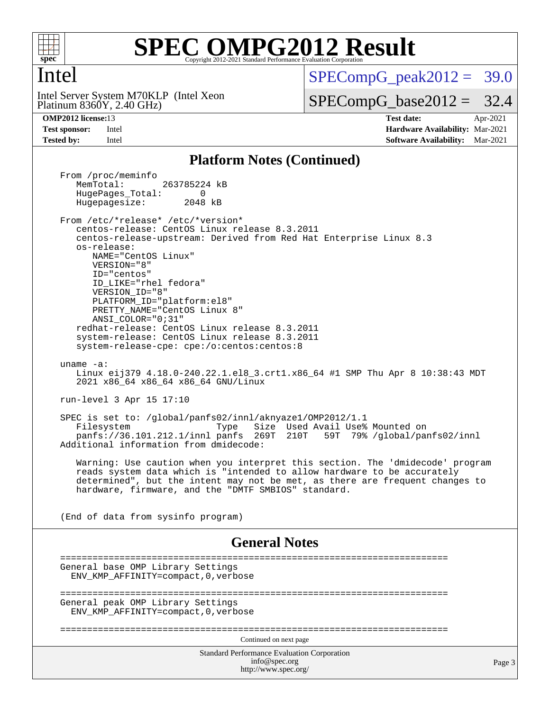

### Intel

Platinum 8360Y, 2.40 GHz) Intel Server System M70KLP (Intel Xeon  $SPECompG<sub>peak2012</sub> = 39.0$ 

 $SPECompG_base2012 = 32.4$  $SPECompG_base2012 = 32.4$ 

**[OMP2012 license:](http://www.spec.org/auto/omp2012/Docs/result-fields.html#OMP2012license)**13 **[Test date:](http://www.spec.org/auto/omp2012/Docs/result-fields.html#Testdate)** Apr-2021 **[Test sponsor:](http://www.spec.org/auto/omp2012/Docs/result-fields.html#Testsponsor)** Intel **[Hardware Availability:](http://www.spec.org/auto/omp2012/Docs/result-fields.html#HardwareAvailability)** Mar-2021 **[Tested by:](http://www.spec.org/auto/omp2012/Docs/result-fields.html#Testedby)** Intel **[Software Availability:](http://www.spec.org/auto/omp2012/Docs/result-fields.html#SoftwareAvailability)** Mar-2021

#### **[Platform Notes \(Continued\)](http://www.spec.org/auto/omp2012/Docs/result-fields.html#PlatformNotes)**

Standard Performance Evaluation Corporation [info@spec.org](mailto:info@spec.org) <http://www.spec.org/> Page 3 From /proc/meminfo<br>MemTotal: 263785224 kB HugePages\_Total: 0<br>Hugepagesize: 2048 kB Hugepagesize: From /etc/\*release\* /etc/\*version\* centos-release: CentOS Linux release 8.3.2011 centos-release-upstream: Derived from Red Hat Enterprise Linux 8.3 os-release: NAME="CentOS Linux" VERSION="8" ID="centos" ID\_LIKE="rhel fedora" VERSION\_ID="8" PLATFORM\_ID="platform:el8" PRETTY\_NAME="CentOS\_Linux 8" ANSI\_COLOR="0;31" redhat-release: CentOS Linux release 8.3.2011 system-release: CentOS Linux release 8.3.2011 system-release-cpe: cpe:/o:centos:centos:8 uname -a: Linux eij379 4.18.0-240.22.1.el8\_3.crt1.x86\_64 #1 SMP Thu Apr 8 10:38:43 MDT 2021 x86\_64 x86\_64 x86\_64 GNU/Linux run-level 3 Apr 15 17:10 SPEC is set to: /global/panfs02/innl/aknyaze1/OMP2012/1.1 Type Size Used Avail Use% Mounted on<br>panfs 269T 210T 59T 79% /global/par panfs://36.101.212.1/innl panfs 269T 210T 59T 79% /global/panfs02/innl Additional information from dmidecode: Warning: Use caution when you interpret this section. The 'dmidecode' program reads system data which is "intended to allow hardware to be accurately determined", but the intent may not be met, as there are frequent changes to hardware, firmware, and the "DMTF SMBIOS" standard. (End of data from sysinfo program) **[General Notes](http://www.spec.org/auto/omp2012/Docs/result-fields.html#GeneralNotes)** ======================================================================== General base OMP Library Settings ENV\_KMP\_AFFINITY=compact,0,verbose ======================================================================== General peak OMP Library Settings ENV\_KMP\_AFFINITY=compact,0,verbose ======================================================================== Continued on next page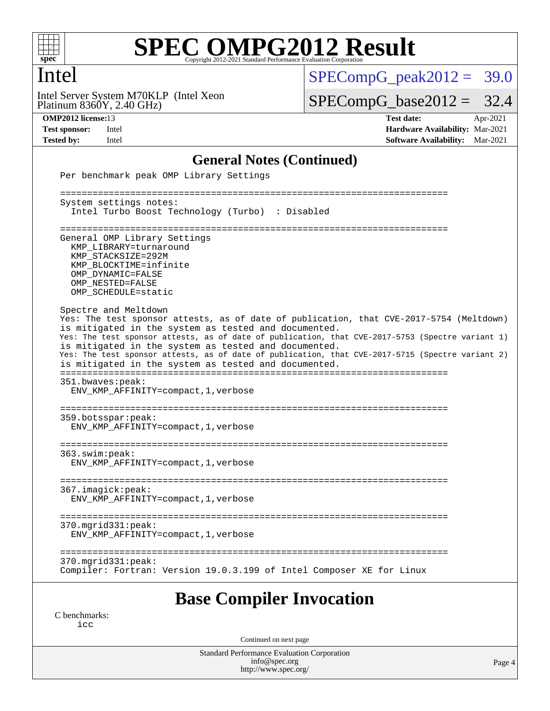

## Intel

Platinum 8360Y, 2.40 GHz) Intel Server System M70KLP (Intel Xeon  $SPECompG_peak2012 = 39.0$  $SPECompG_peak2012 = 39.0$ 

 $SPECompG_base2012 = 32.4$  $SPECompG_base2012 = 32.4$ 

**[OMP2012 license:](http://www.spec.org/auto/omp2012/Docs/result-fields.html#OMP2012license)**13 **[Test date:](http://www.spec.org/auto/omp2012/Docs/result-fields.html#Testdate)** Apr-2021 **[Test sponsor:](http://www.spec.org/auto/omp2012/Docs/result-fields.html#Testsponsor)** Intel **[Hardware Availability:](http://www.spec.org/auto/omp2012/Docs/result-fields.html#HardwareAvailability)** Mar-2021 **[Tested by:](http://www.spec.org/auto/omp2012/Docs/result-fields.html#Testedby)** Intel **[Software Availability:](http://www.spec.org/auto/omp2012/Docs/result-fields.html#SoftwareAvailability)** Mar-2021

#### **[General Notes \(Continued\)](http://www.spec.org/auto/omp2012/Docs/result-fields.html#GeneralNotes)**

| Per benchmark peak OMP Library Settings                                                                                                                                                                                                                                                                                                                                                                                                                                                         |
|-------------------------------------------------------------------------------------------------------------------------------------------------------------------------------------------------------------------------------------------------------------------------------------------------------------------------------------------------------------------------------------------------------------------------------------------------------------------------------------------------|
| =================================<br>===================================                                                                                                                                                                                                                                                                                                                                                                                                                        |
| System settings notes:<br>Intel Turbo Boost Technology (Turbo) : Disabled                                                                                                                                                                                                                                                                                                                                                                                                                       |
| General OMP Library Settings<br>KMP LIBRARY=turnaround<br>KMP STACKSIZE=292M<br>KMP BLOCKTIME=infinite<br>OMP DYNAMIC=FALSE<br>OMP NESTED=FALSE<br>OMP SCHEDULE=static                                                                                                                                                                                                                                                                                                                          |
| Spectre and Meltdown<br>Yes: The test sponsor attests, as of date of publication, that CVE-2017-5754 (Meltdown)<br>is mitigated in the system as tested and documented.<br>Yes: The test sponsor attests, as of date of publication, that CVE-2017-5753 (Spectre variant 1)<br>is mitigated in the system as tested and documented.<br>Yes: The test sponsor attests, as of date of publication, that CVE-2017-5715 (Spectre variant 2)<br>is mitigated in the system as tested and documented. |
| 351.bwaves:peak:<br>ENV KMP AFFINITY=compact, 1, verbose                                                                                                                                                                                                                                                                                                                                                                                                                                        |
| 359.botsspar:peak:<br>ENV KMP AFFINITY=compact, 1, verbose                                                                                                                                                                                                                                                                                                                                                                                                                                      |
| 363.swim:peak:<br>ENV_KMP_AFFINITY=compact, 1, verbose                                                                                                                                                                                                                                                                                                                                                                                                                                          |
| 367.imagick:peak:<br>ENV_KMP_AFFINITY=compact, 1, verbose                                                                                                                                                                                                                                                                                                                                                                                                                                       |
| $370.\text{mgrid}331:\text{peak}:$<br>ENV KMP AFFINITY=compact, 1, verbose                                                                                                                                                                                                                                                                                                                                                                                                                      |
| $370.\text{mgrid}331:\text{peak}:$<br>Compiler: Fortran: Version 19.0.3.199 of Intel Composer XE for Linux                                                                                                                                                                                                                                                                                                                                                                                      |
| <b>Base Compiler Invocation</b>                                                                                                                                                                                                                                                                                                                                                                                                                                                                 |
| C benchmarks:                                                                                                                                                                                                                                                                                                                                                                                                                                                                                   |

[icc](http://www.spec.org/omp2012/results/res2021q2/omp2012-20210419-00200.flags.html#user_CCbase_intel_icc_a87c68a857bc5ec5362391a49d3a37a6)

Continued on next page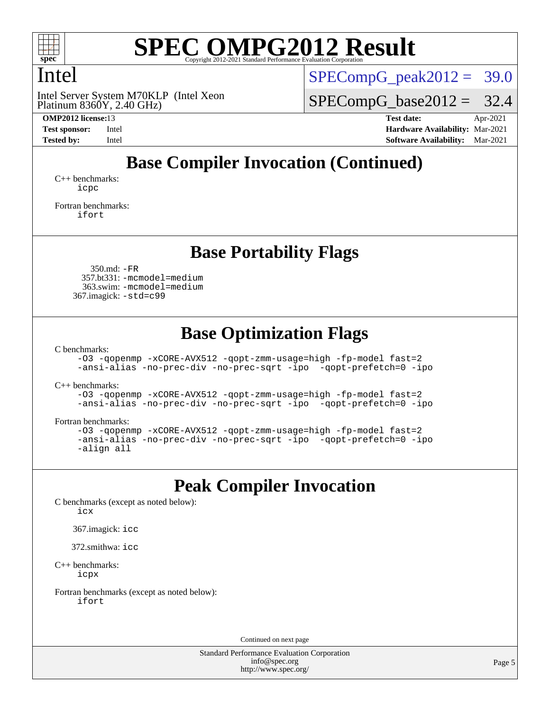

## Intel

Platinum 8360Y, 2.40 GHz) Intel Server System M70KLP (Intel Xeon  $SPECompG<sub>peak2012</sub> = 39.0$ 

 $SPECompG_base2012 = 32.4$  $SPECompG_base2012 = 32.4$ 

**[OMP2012 license:](http://www.spec.org/auto/omp2012/Docs/result-fields.html#OMP2012license)**13 **[Test date:](http://www.spec.org/auto/omp2012/Docs/result-fields.html#Testdate)** Apr-2021 **[Test sponsor:](http://www.spec.org/auto/omp2012/Docs/result-fields.html#Testsponsor)** Intel **[Hardware Availability:](http://www.spec.org/auto/omp2012/Docs/result-fields.html#HardwareAvailability)** Mar-2021 **[Tested by:](http://www.spec.org/auto/omp2012/Docs/result-fields.html#Testedby)** Intel **[Software Availability:](http://www.spec.org/auto/omp2012/Docs/result-fields.html#SoftwareAvailability)** Mar-2021

# **[Base Compiler Invocation \(Continued\)](http://www.spec.org/auto/omp2012/Docs/result-fields.html#BaseCompilerInvocation)**

[C++ benchmarks:](http://www.spec.org/auto/omp2012/Docs/result-fields.html#CXXbenchmarks) [icpc](http://www.spec.org/omp2012/results/res2021q2/omp2012-20210419-00200.flags.html#user_CXXbase_intel_icpc_2d899f8d163502b12eb4a60069f80c1c)

[Fortran benchmarks](http://www.spec.org/auto/omp2012/Docs/result-fields.html#Fortranbenchmarks): [ifort](http://www.spec.org/omp2012/results/res2021q2/omp2012-20210419-00200.flags.html#user_FCbase_intel_ifort_8a5e5e06b19a251bdeaf8fdab5d62f20)

### **[Base Portability Flags](http://www.spec.org/auto/omp2012/Docs/result-fields.html#BasePortabilityFlags)**

 350.md: [-FR](http://www.spec.org/omp2012/results/res2021q2/omp2012-20210419-00200.flags.html#user_baseFPORTABILITY350_md_f-FR) 357.bt331: [-mcmodel=medium](http://www.spec.org/omp2012/results/res2021q2/omp2012-20210419-00200.flags.html#user_basePORTABILITY357_bt331_f-mcmodel_3a41622424bdd074c4f0f2d2f224c7e5) 363.swim: [-mcmodel=medium](http://www.spec.org/omp2012/results/res2021q2/omp2012-20210419-00200.flags.html#user_basePORTABILITY363_swim_f-mcmodel_3a41622424bdd074c4f0f2d2f224c7e5) 367.imagick: [-std=c99](http://www.spec.org/omp2012/results/res2021q2/omp2012-20210419-00200.flags.html#user_baseCPORTABILITY367_imagick_f-std_2ec6533b6e06f1c4a6c9b78d9e9cde24)

# **[Base Optimization Flags](http://www.spec.org/auto/omp2012/Docs/result-fields.html#BaseOptimizationFlags)**

[C benchmarks](http://www.spec.org/auto/omp2012/Docs/result-fields.html#Cbenchmarks):

[-O3](http://www.spec.org/omp2012/results/res2021q2/omp2012-20210419-00200.flags.html#user_CCbase_f-O3) [-qopenmp](http://www.spec.org/omp2012/results/res2021q2/omp2012-20210419-00200.flags.html#user_CCbase_f-qopenmp) [-xCORE-AVX512](http://www.spec.org/omp2012/results/res2021q2/omp2012-20210419-00200.flags.html#user_CCbase_f-xCORE-AVX512) [-qopt-zmm-usage=high](http://www.spec.org/omp2012/results/res2021q2/omp2012-20210419-00200.flags.html#user_CCbase_f-qopt-zmm-usage_213d857421e75f2db2f896f7900465fb) [-fp-model fast=2](http://www.spec.org/omp2012/results/res2021q2/omp2012-20210419-00200.flags.html#user_CCbase_f-fp-model_a7fb8ccb7275e23f0079632c153cfcab) [-ansi-alias](http://www.spec.org/omp2012/results/res2021q2/omp2012-20210419-00200.flags.html#user_CCbase_f-ansi-alias) [-no-prec-div](http://www.spec.org/omp2012/results/res2021q2/omp2012-20210419-00200.flags.html#user_CCbase_f-no-prec-div) [-no-prec-sqrt](http://www.spec.org/omp2012/results/res2021q2/omp2012-20210419-00200.flags.html#user_CCbase_f-no-prec-sqrt) [-ipo](http://www.spec.org/omp2012/results/res2021q2/omp2012-20210419-00200.flags.html#user_CCbase_f-ipo_84062ab53814f613187d02344b8f49a7) [-qopt-prefetch=0](http://www.spec.org/omp2012/results/res2021q2/omp2012-20210419-00200.flags.html#user_CCbase_f-qopt-prefetch_ce172c705aa924d14c76f32fff3f4886) [-ipo](http://www.spec.org/omp2012/results/res2021q2/omp2012-20210419-00200.flags.html#user_CCbase_f-ipo)

[C++ benchmarks:](http://www.spec.org/auto/omp2012/Docs/result-fields.html#CXXbenchmarks)

[-O3](http://www.spec.org/omp2012/results/res2021q2/omp2012-20210419-00200.flags.html#user_CXXbase_f-O3) [-qopenmp](http://www.spec.org/omp2012/results/res2021q2/omp2012-20210419-00200.flags.html#user_CXXbase_f-qopenmp) [-xCORE-AVX512](http://www.spec.org/omp2012/results/res2021q2/omp2012-20210419-00200.flags.html#user_CXXbase_f-xCORE-AVX512) [-qopt-zmm-usage=high](http://www.spec.org/omp2012/results/res2021q2/omp2012-20210419-00200.flags.html#user_CXXbase_f-qopt-zmm-usage_213d857421e75f2db2f896f7900465fb) [-fp-model fast=2](http://www.spec.org/omp2012/results/res2021q2/omp2012-20210419-00200.flags.html#user_CXXbase_f-fp-model_a7fb8ccb7275e23f0079632c153cfcab) [-ansi-alias](http://www.spec.org/omp2012/results/res2021q2/omp2012-20210419-00200.flags.html#user_CXXbase_f-ansi-alias) [-no-prec-div](http://www.spec.org/omp2012/results/res2021q2/omp2012-20210419-00200.flags.html#user_CXXbase_f-no-prec-div) [-no-prec-sqrt](http://www.spec.org/omp2012/results/res2021q2/omp2012-20210419-00200.flags.html#user_CXXbase_f-no-prec-sqrt) [-ipo](http://www.spec.org/omp2012/results/res2021q2/omp2012-20210419-00200.flags.html#user_CXXbase_f-ipo_84062ab53814f613187d02344b8f49a7) [-qopt-prefetch=0](http://www.spec.org/omp2012/results/res2021q2/omp2012-20210419-00200.flags.html#user_CXXbase_f-qopt-prefetch_ce172c705aa924d14c76f32fff3f4886) [-ipo](http://www.spec.org/omp2012/results/res2021q2/omp2012-20210419-00200.flags.html#user_CXXbase_f-ipo)

[Fortran benchmarks](http://www.spec.org/auto/omp2012/Docs/result-fields.html#Fortranbenchmarks):

```
-O3 -qopenmp -xCORE-AVX512 -qopt-zmm-usage=high -fp-model fast=2
-ansi-alias -no-prec-div -no-prec-sqrt -ipo -qopt-prefetch=0 -ipo
-align all
```
## **[Peak Compiler Invocation](http://www.spec.org/auto/omp2012/Docs/result-fields.html#PeakCompilerInvocation)**

[C benchmarks \(except as noted below\)](http://www.spec.org/auto/omp2012/Docs/result-fields.html#Cbenchmarksexceptasnotedbelow):

[icx](http://www.spec.org/omp2012/results/res2021q2/omp2012-20210419-00200.flags.html#user_CCpeak_intel_icx_d761acf21947c2bbb32cbe7456ac9ae6)

367.imagick: [icc](http://www.spec.org/omp2012/results/res2021q2/omp2012-20210419-00200.flags.html#user_peakCCLD367_imagick_intel_icc_a87c68a857bc5ec5362391a49d3a37a6)

372.smithwa: [icc](http://www.spec.org/omp2012/results/res2021q2/omp2012-20210419-00200.flags.html#user_peakCCLD372_smithwa_intel_icc_a87c68a857bc5ec5362391a49d3a37a6)

[C++ benchmarks:](http://www.spec.org/auto/omp2012/Docs/result-fields.html#CXXbenchmarks) [icpx](http://www.spec.org/omp2012/results/res2021q2/omp2012-20210419-00200.flags.html#user_CXXpeak_intel_icpx_6d022741498f5bd6592570ab638faa67)

[Fortran benchmarks \(except as noted below\)](http://www.spec.org/auto/omp2012/Docs/result-fields.html#Fortranbenchmarksexceptasnotedbelow): [ifort](http://www.spec.org/omp2012/results/res2021q2/omp2012-20210419-00200.flags.html#user_FCpeak_intel_ifort_8a5e5e06b19a251bdeaf8fdab5d62f20)

Continued on next page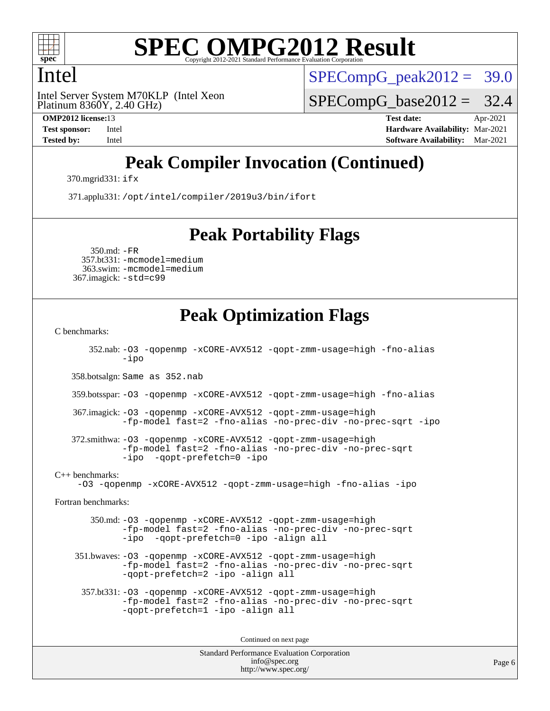

## Intel

Platinum 8360Y, 2.40 GHz) Intel Server System M70KLP (Intel Xeon  $SPECompG_peak2012 = 39.0$  $SPECompG_peak2012 = 39.0$ 

 $SPECompG_base2012 = 32.4$  $SPECompG_base2012 = 32.4$ 

**[OMP2012 license:](http://www.spec.org/auto/omp2012/Docs/result-fields.html#OMP2012license)**13 **[Test date:](http://www.spec.org/auto/omp2012/Docs/result-fields.html#Testdate)** Apr-2021 **[Test sponsor:](http://www.spec.org/auto/omp2012/Docs/result-fields.html#Testsponsor)** Intel **[Hardware Availability:](http://www.spec.org/auto/omp2012/Docs/result-fields.html#HardwareAvailability)** Mar-2021 **[Tested by:](http://www.spec.org/auto/omp2012/Docs/result-fields.html#Testedby)** Intel **[Software Availability:](http://www.spec.org/auto/omp2012/Docs/result-fields.html#SoftwareAvailability)** Mar-2021

# **[Peak Compiler Invocation \(Continued\)](http://www.spec.org/auto/omp2012/Docs/result-fields.html#PeakCompilerInvocation)**

370.mgrid331: [ifx](http://www.spec.org/omp2012/results/res2021q2/omp2012-20210419-00200.flags.html#user_peakFCLD370_mgrid331_intel_ifx_b8798e41559859c58a1e8b8f45ea137c)

371.applu331: [/opt/intel/compiler/2019u3/bin/ifort](http://www.spec.org/omp2012/results/res2021q2/omp2012-20210419-00200.flags.html#user_peakFCLD371_applu331_intel_ifort_127b420565c1394e637c1e89ff0e5a0e)

### **[Peak Portability Flags](http://www.spec.org/auto/omp2012/Docs/result-fields.html#PeakPortabilityFlags)**

 350.md: [-FR](http://www.spec.org/omp2012/results/res2021q2/omp2012-20210419-00200.flags.html#user_peakFPORTABILITY350_md_f-FR) 357.bt331: [-mcmodel=medium](http://www.spec.org/omp2012/results/res2021q2/omp2012-20210419-00200.flags.html#user_peakPORTABILITY357_bt331_f-mcmodel_3a41622424bdd074c4f0f2d2f224c7e5) 363.swim: [-mcmodel=medium](http://www.spec.org/omp2012/results/res2021q2/omp2012-20210419-00200.flags.html#user_peakPORTABILITY363_swim_f-mcmodel_3a41622424bdd074c4f0f2d2f224c7e5) 367.imagick: [-std=c99](http://www.spec.org/omp2012/results/res2021q2/omp2012-20210419-00200.flags.html#user_peakCPORTABILITY367_imagick_f-std_2ec6533b6e06f1c4a6c9b78d9e9cde24)

## **[Peak Optimization Flags](http://www.spec.org/auto/omp2012/Docs/result-fields.html#PeakOptimizationFlags)**

[C benchmarks](http://www.spec.org/auto/omp2012/Docs/result-fields.html#Cbenchmarks):

 352.nab: [-O3](http://www.spec.org/omp2012/results/res2021q2/omp2012-20210419-00200.flags.html#user_peakOPTIMIZE352_nab_f-O3) [-qopenmp](http://www.spec.org/omp2012/results/res2021q2/omp2012-20210419-00200.flags.html#user_peakOPTIMIZE352_nab_f-qopenmp) [-xCORE-AVX512](http://www.spec.org/omp2012/results/res2021q2/omp2012-20210419-00200.flags.html#user_peakOPTIMIZE352_nab_f-xCORE-AVX512) [-qopt-zmm-usage=high](http://www.spec.org/omp2012/results/res2021q2/omp2012-20210419-00200.flags.html#user_peakOPTIMIZE352_nab_f-qopt-zmm-usage_213d857421e75f2db2f896f7900465fb) [-fno-alias](http://www.spec.org/omp2012/results/res2021q2/omp2012-20210419-00200.flags.html#user_peakOPTIMIZE352_nab_f-no-alias_694e77f6c5a51e658e82ccff53a9e63a) [-ipo](http://www.spec.org/omp2012/results/res2021q2/omp2012-20210419-00200.flags.html#user_peakOPTIMIZE352_nab_f-ipo) 358.botsalgn: Same as 352.nab 359.botsspar: [-O3](http://www.spec.org/omp2012/results/res2021q2/omp2012-20210419-00200.flags.html#user_peakOPTIMIZE359_botsspar_f-O3) [-qopenmp](http://www.spec.org/omp2012/results/res2021q2/omp2012-20210419-00200.flags.html#user_peakOPTIMIZE359_botsspar_f-qopenmp) [-xCORE-AVX512](http://www.spec.org/omp2012/results/res2021q2/omp2012-20210419-00200.flags.html#user_peakOPTIMIZE359_botsspar_f-xCORE-AVX512) [-qopt-zmm-usage=high](http://www.spec.org/omp2012/results/res2021q2/omp2012-20210419-00200.flags.html#user_peakOPTIMIZE359_botsspar_f-qopt-zmm-usage_213d857421e75f2db2f896f7900465fb) [-fno-alias](http://www.spec.org/omp2012/results/res2021q2/omp2012-20210419-00200.flags.html#user_peakOPTIMIZE359_botsspar_f-no-alias_694e77f6c5a51e658e82ccff53a9e63a) 367.imagick: [-O3](http://www.spec.org/omp2012/results/res2021q2/omp2012-20210419-00200.flags.html#user_peakOPTIMIZE367_imagick_f-O3) [-qopenmp](http://www.spec.org/omp2012/results/res2021q2/omp2012-20210419-00200.flags.html#user_peakOPTIMIZE367_imagick_f-qopenmp) [-xCORE-AVX512](http://www.spec.org/omp2012/results/res2021q2/omp2012-20210419-00200.flags.html#user_peakOPTIMIZE367_imagick_f-xCORE-AVX512) [-qopt-zmm-usage=high](http://www.spec.org/omp2012/results/res2021q2/omp2012-20210419-00200.flags.html#user_peakOPTIMIZE367_imagick_f-qopt-zmm-usage_213d857421e75f2db2f896f7900465fb) [-fp-model fast=2](http://www.spec.org/omp2012/results/res2021q2/omp2012-20210419-00200.flags.html#user_peakOPTIMIZE367_imagick_f-fp-model_a7fb8ccb7275e23f0079632c153cfcab) [-fno-alias](http://www.spec.org/omp2012/results/res2021q2/omp2012-20210419-00200.flags.html#user_peakOPTIMIZE367_imagick_f-no-alias_694e77f6c5a51e658e82ccff53a9e63a) [-no-prec-div](http://www.spec.org/omp2012/results/res2021q2/omp2012-20210419-00200.flags.html#user_peakOPTIMIZE367_imagick_f-no-prec-div) [-no-prec-sqrt](http://www.spec.org/omp2012/results/res2021q2/omp2012-20210419-00200.flags.html#user_peakOPTIMIZE367_imagick_f-no-prec-sqrt) [-ipo](http://www.spec.org/omp2012/results/res2021q2/omp2012-20210419-00200.flags.html#user_peakOPTIMIZE367_imagick_f-ipo) 372.smithwa: [-O3](http://www.spec.org/omp2012/results/res2021q2/omp2012-20210419-00200.flags.html#user_peakOPTIMIZE372_smithwa_f-O3) [-qopenmp](http://www.spec.org/omp2012/results/res2021q2/omp2012-20210419-00200.flags.html#user_peakOPTIMIZE372_smithwa_f-qopenmp) [-xCORE-AVX512](http://www.spec.org/omp2012/results/res2021q2/omp2012-20210419-00200.flags.html#user_peakOPTIMIZE372_smithwa_f-xCORE-AVX512) [-qopt-zmm-usage=high](http://www.spec.org/omp2012/results/res2021q2/omp2012-20210419-00200.flags.html#user_peakOPTIMIZE372_smithwa_f-qopt-zmm-usage_213d857421e75f2db2f896f7900465fb) [-fp-model fast=2](http://www.spec.org/omp2012/results/res2021q2/omp2012-20210419-00200.flags.html#user_peakOPTIMIZE372_smithwa_f-fp-model_a7fb8ccb7275e23f0079632c153cfcab) [-fno-alias](http://www.spec.org/omp2012/results/res2021q2/omp2012-20210419-00200.flags.html#user_peakOPTIMIZE372_smithwa_f-no-alias_694e77f6c5a51e658e82ccff53a9e63a) [-no-prec-div](http://www.spec.org/omp2012/results/res2021q2/omp2012-20210419-00200.flags.html#user_peakOPTIMIZE372_smithwa_f-no-prec-div) [-no-prec-sqrt](http://www.spec.org/omp2012/results/res2021q2/omp2012-20210419-00200.flags.html#user_peakOPTIMIZE372_smithwa_f-no-prec-sqrt) [-ipo](http://www.spec.org/omp2012/results/res2021q2/omp2012-20210419-00200.flags.html#user_peakOPTIMIZE372_smithwa_f-ipo_84062ab53814f613187d02344b8f49a7) [-qopt-prefetch=0](http://www.spec.org/omp2012/results/res2021q2/omp2012-20210419-00200.flags.html#user_peakOPTIMIZE372_smithwa_f-qopt-prefetch_ce172c705aa924d14c76f32fff3f4886) [-ipo](http://www.spec.org/omp2012/results/res2021q2/omp2012-20210419-00200.flags.html#user_peakOPTIMIZE372_smithwa_f-ipo) [C++ benchmarks:](http://www.spec.org/auto/omp2012/Docs/result-fields.html#CXXbenchmarks) [-O3](http://www.spec.org/omp2012/results/res2021q2/omp2012-20210419-00200.flags.html#user_CXXpeak_f-O3) [-qopenmp](http://www.spec.org/omp2012/results/res2021q2/omp2012-20210419-00200.flags.html#user_CXXpeak_f-qopenmp) [-xCORE-AVX512](http://www.spec.org/omp2012/results/res2021q2/omp2012-20210419-00200.flags.html#user_CXXpeak_f-xCORE-AVX512) [-qopt-zmm-usage=high](http://www.spec.org/omp2012/results/res2021q2/omp2012-20210419-00200.flags.html#user_CXXpeak_f-qopt-zmm-usage_213d857421e75f2db2f896f7900465fb) [-fno-alias](http://www.spec.org/omp2012/results/res2021q2/omp2012-20210419-00200.flags.html#user_CXXpeak_f-no-alias_694e77f6c5a51e658e82ccff53a9e63a) [-ipo](http://www.spec.org/omp2012/results/res2021q2/omp2012-20210419-00200.flags.html#user_CXXpeak_f-ipo) [Fortran benchmarks](http://www.spec.org/auto/omp2012/Docs/result-fields.html#Fortranbenchmarks): 350.md: [-O3](http://www.spec.org/omp2012/results/res2021q2/omp2012-20210419-00200.flags.html#user_peakOPTIMIZE350_md_f-O3) [-qopenmp](http://www.spec.org/omp2012/results/res2021q2/omp2012-20210419-00200.flags.html#user_peakOPTIMIZE350_md_f-qopenmp) [-xCORE-AVX512](http://www.spec.org/omp2012/results/res2021q2/omp2012-20210419-00200.flags.html#user_peakOPTIMIZE350_md_f-xCORE-AVX512) [-qopt-zmm-usage=high](http://www.spec.org/omp2012/results/res2021q2/omp2012-20210419-00200.flags.html#user_peakOPTIMIZE350_md_f-qopt-zmm-usage_213d857421e75f2db2f896f7900465fb) [-fp-model fast=2](http://www.spec.org/omp2012/results/res2021q2/omp2012-20210419-00200.flags.html#user_peakOPTIMIZE350_md_f-fp-model_a7fb8ccb7275e23f0079632c153cfcab) [-fno-alias](http://www.spec.org/omp2012/results/res2021q2/omp2012-20210419-00200.flags.html#user_peakOPTIMIZE350_md_f-no-alias_694e77f6c5a51e658e82ccff53a9e63a) [-no-prec-div](http://www.spec.org/omp2012/results/res2021q2/omp2012-20210419-00200.flags.html#user_peakOPTIMIZE350_md_f-no-prec-div) [-no-prec-sqrt](http://www.spec.org/omp2012/results/res2021q2/omp2012-20210419-00200.flags.html#user_peakOPTIMIZE350_md_f-no-prec-sqrt) [-ipo](http://www.spec.org/omp2012/results/res2021q2/omp2012-20210419-00200.flags.html#user_peakOPTIMIZE350_md_f-ipo_84062ab53814f613187d02344b8f49a7) [-qopt-prefetch=0](http://www.spec.org/omp2012/results/res2021q2/omp2012-20210419-00200.flags.html#user_peakOPTIMIZE350_md_f-qopt-prefetch_ce172c705aa924d14c76f32fff3f4886) [-ipo](http://www.spec.org/omp2012/results/res2021q2/omp2012-20210419-00200.flags.html#user_peakOPTIMIZE350_md_f-ipo) [-align all](http://www.spec.org/omp2012/results/res2021q2/omp2012-20210419-00200.flags.html#user_peakFOPTIMIZE350_md_f-align_1ebfa66158b49aff21b037afc4046011) 351.bwaves: [-O3](http://www.spec.org/omp2012/results/res2021q2/omp2012-20210419-00200.flags.html#user_peakOPTIMIZE351_bwaves_f-O3) [-qopenmp](http://www.spec.org/omp2012/results/res2021q2/omp2012-20210419-00200.flags.html#user_peakOPTIMIZE351_bwaves_f-qopenmp) [-xCORE-AVX512](http://www.spec.org/omp2012/results/res2021q2/omp2012-20210419-00200.flags.html#user_peakOPTIMIZE351_bwaves_f-xCORE-AVX512) [-qopt-zmm-usage=high](http://www.spec.org/omp2012/results/res2021q2/omp2012-20210419-00200.flags.html#user_peakOPTIMIZE351_bwaves_f-qopt-zmm-usage_213d857421e75f2db2f896f7900465fb) [-fp-model fast=2](http://www.spec.org/omp2012/results/res2021q2/omp2012-20210419-00200.flags.html#user_peakOPTIMIZE351_bwaves_f-fp-model_a7fb8ccb7275e23f0079632c153cfcab) [-fno-alias](http://www.spec.org/omp2012/results/res2021q2/omp2012-20210419-00200.flags.html#user_peakOPTIMIZE351_bwaves_f-no-alias_694e77f6c5a51e658e82ccff53a9e63a) [-no-prec-div](http://www.spec.org/omp2012/results/res2021q2/omp2012-20210419-00200.flags.html#user_peakOPTIMIZE351_bwaves_f-no-prec-div) [-no-prec-sqrt](http://www.spec.org/omp2012/results/res2021q2/omp2012-20210419-00200.flags.html#user_peakOPTIMIZE351_bwaves_f-no-prec-sqrt) [-qopt-prefetch=2](http://www.spec.org/omp2012/results/res2021q2/omp2012-20210419-00200.flags.html#user_peakOPTIMIZE351_bwaves_f-qopt-prefetch_5dd8eff5680869f15030b88dfb173050) [-ipo](http://www.spec.org/omp2012/results/res2021q2/omp2012-20210419-00200.flags.html#user_peakOPTIMIZE351_bwaves_f-ipo) [-align all](http://www.spec.org/omp2012/results/res2021q2/omp2012-20210419-00200.flags.html#user_peakFOPTIMIZE351_bwaves_f-align_1ebfa66158b49aff21b037afc4046011) 357.bt331: [-O3](http://www.spec.org/omp2012/results/res2021q2/omp2012-20210419-00200.flags.html#user_peakOPTIMIZE357_bt331_f-O3) [-qopenmp](http://www.spec.org/omp2012/results/res2021q2/omp2012-20210419-00200.flags.html#user_peakOPTIMIZE357_bt331_f-qopenmp) [-xCORE-AVX512](http://www.spec.org/omp2012/results/res2021q2/omp2012-20210419-00200.flags.html#user_peakOPTIMIZE357_bt331_f-xCORE-AVX512) [-qopt-zmm-usage=high](http://www.spec.org/omp2012/results/res2021q2/omp2012-20210419-00200.flags.html#user_peakOPTIMIZE357_bt331_f-qopt-zmm-usage_213d857421e75f2db2f896f7900465fb) [-fp-model fast=2](http://www.spec.org/omp2012/results/res2021q2/omp2012-20210419-00200.flags.html#user_peakOPTIMIZE357_bt331_f-fp-model_a7fb8ccb7275e23f0079632c153cfcab) [-fno-alias](http://www.spec.org/omp2012/results/res2021q2/omp2012-20210419-00200.flags.html#user_peakOPTIMIZE357_bt331_f-no-alias_694e77f6c5a51e658e82ccff53a9e63a) [-no-prec-div](http://www.spec.org/omp2012/results/res2021q2/omp2012-20210419-00200.flags.html#user_peakOPTIMIZE357_bt331_f-no-prec-div) [-no-prec-sqrt](http://www.spec.org/omp2012/results/res2021q2/omp2012-20210419-00200.flags.html#user_peakOPTIMIZE357_bt331_f-no-prec-sqrt) [-qopt-prefetch=1](http://www.spec.org/omp2012/results/res2021q2/omp2012-20210419-00200.flags.html#user_peakOPTIMIZE357_bt331_f-qopt-prefetch_9097ad9b78e4401c727c33237ff25d7e) [-ipo](http://www.spec.org/omp2012/results/res2021q2/omp2012-20210419-00200.flags.html#user_peakOPTIMIZE357_bt331_f-ipo) [-align all](http://www.spec.org/omp2012/results/res2021q2/omp2012-20210419-00200.flags.html#user_peakFOPTIMIZE357_bt331_f-align_1ebfa66158b49aff21b037afc4046011) Continued on next page